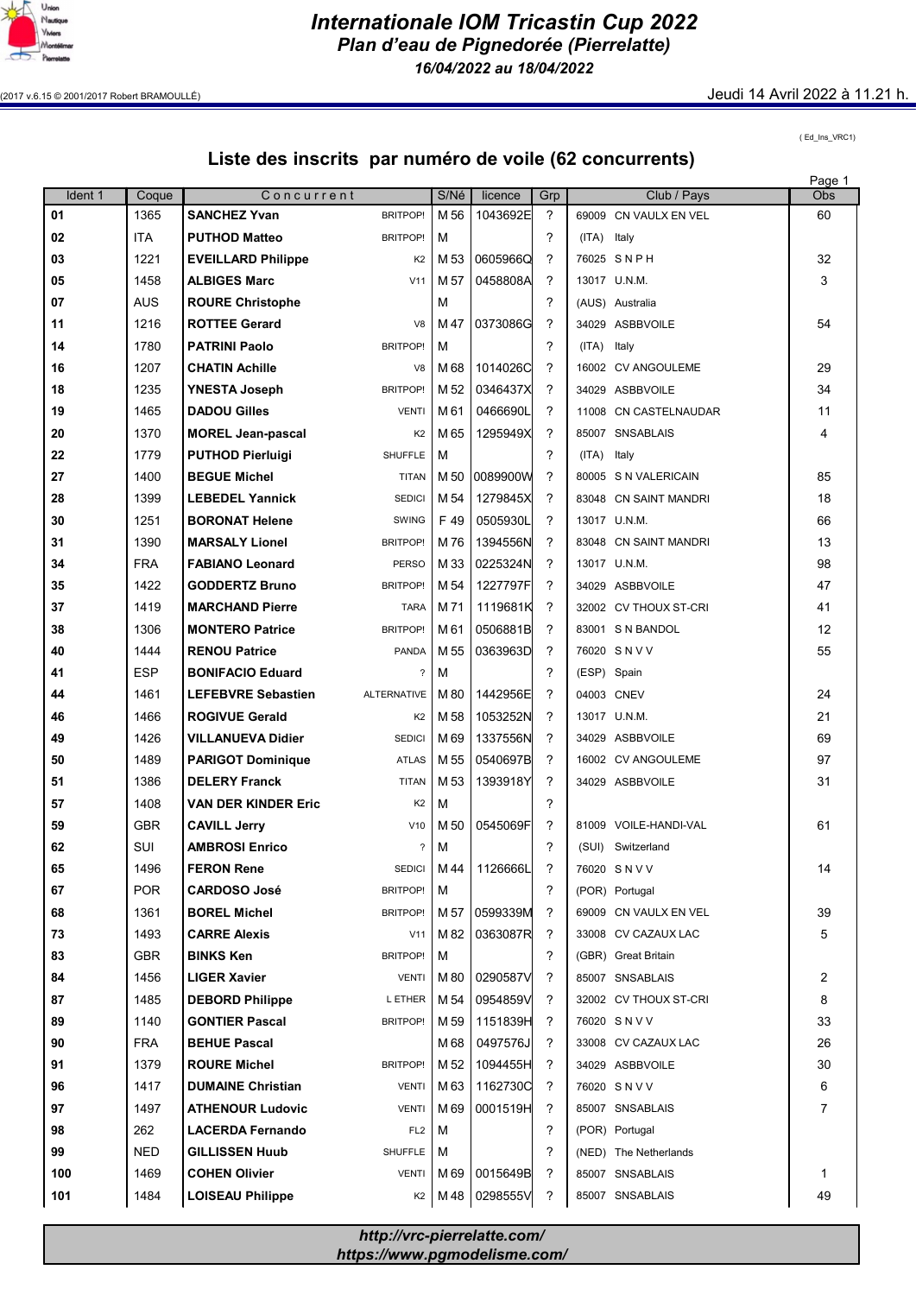

Internationale IOM Tricastin Cup 2022 Plan d'eau de Pignedorée (Pierrelatte) 16/04/2022 au 18/04/2022

(2017 v.6.15 © 2001/2017 Robert BRAMOULLÉ) Jeudi 14 Avril 2022 à 11.21 h.

( Ed\_Ins\_VRC1)

## Liste des inscrits par numéro de voile (62 concurrents)

|         |            |                            |                          |                 |           |               |             |                       | Page 1         |
|---------|------------|----------------------------|--------------------------|-----------------|-----------|---------------|-------------|-----------------------|----------------|
| Ident 1 | Coque      | Concurrent                 |                          | S/Né            | licence   | Grp           |             | Club / Pays           | Obs            |
| 01      | 1365       | <b>SANCHEZ Yvan</b>        | <b>BRITPOP!</b>          | M 56            | 1043692E  | ?             |             | 69009 CN VAULX EN VEL | 60             |
| 02      | <b>ITA</b> | <b>PUTHOD Matteo</b>       | <b>BRITPOP!</b>          | M               |           | ?             | (ITA)       | Italy                 |                |
| 03      | 1221       | <b>EVEILLARD Philippe</b>  | K <sub>2</sub>           | M 53            | 0605966Q  | 7             |             | 76025 SNPH            | 32             |
| 05      | 1458       | <b>ALBIGES Marc</b>        | V11                      | M 57            | 0458808A  | ?             |             | 13017 U.N.M.          | 3              |
| 07      | <b>AUS</b> | <b>ROURE Christophe</b>    |                          | M               |           | ?             |             | (AUS) Australia       |                |
| 11      | 1216       | <b>ROTTEE Gerard</b>       | V <sub>8</sub>           | M 47            | 0373086G  | ?             |             | 34029 ASBBVOILE       | 54             |
| 14      | 1780       | <b>PATRINI Paolo</b>       | <b>BRITPOP!</b>          | M               |           | ?             | (ITA)       | Italy                 |                |
| 16      | 1207       | <b>CHATIN Achille</b>      | V <sub>8</sub>           | M 68            | 1014026C  | ?             |             | 16002 CV ANGOULEME    | 29             |
|         |            |                            |                          |                 |           | ?             |             |                       |                |
| 18      | 1235       | <b>YNESTA Joseph</b>       | <b>BRITPOP!</b>          | M 52            | 0346437X  |               |             | 34029 ASBBVOILE       | 34             |
| 19      | 1465       | <b>DADOU Gilles</b>        | <b>VENTI</b>             | M 61            | 0466690L  | ?             |             | 11008 CN CASTELNAUDAR | 11             |
| 20      | 1370       | <b>MOREL Jean-pascal</b>   | K <sub>2</sub>           | M 65            | 1295949X  | ?             |             | 85007 SNSABLAIS       | 4              |
| 22      | 1779       | <b>PUTHOD Pierluigi</b>    | <b>SHUFFLE</b>           | M               |           | 2             | (ITA)       | Italy                 |                |
| 27      | 1400       | <b>BEGUE Michel</b>        | <b>TITAN</b>             | M 50            | 0089900W  | ?             |             | 80005 S N VALERICAIN  | 85             |
| 28      | 1399       | <b>LEBEDEL Yannick</b>     | <b>SEDICI</b>            | M 54            | 1279845X  | ?             |             | 83048 CN SAINT MANDRI | 18             |
| 30      | 1251       | <b>BORONAT Helene</b>      | <b>SWING</b>             | F 49            | 0505930L  | 2             |             | 13017 U.N.M.          | 66             |
| 31      | 1390       | <b>MARSALY Lionel</b>      | <b>BRITPOP!</b>          | M 76            | 1394556N  | ?             |             | 83048 CN SAINT MANDRI | 13             |
| 34      | <b>FRA</b> | <b>FABIANO Leonard</b>     | <b>PERSO</b>             | M 33            | 0225324N  | 2             |             | 13017 U.N.M.          | 98             |
| 35      | 1422       | <b>GODDERTZ Bruno</b>      | <b>BRITPOP!</b>          | M 54            | 1227797FI | $\mathcal{P}$ |             | 34029 ASBBVOILE       | 47             |
| 37      | 1419       | <b>MARCHAND Pierre</b>     | <b>TARA</b>              | M 71            | 1119681K  | ?             |             | 32002 CV THOUX ST-CRI | 41             |
| 38      | 1306       | <b>MONTERO Patrice</b>     | <b>BRITPOP!</b>          | M 61            | 0506881B  | ?             |             | 83001 S N BANDOL      | 12             |
| 40      | 1444       | <b>RENOU Patrice</b>       | <b>PANDA</b>             | M 55            | 0363963D  | ?             |             | 76020 SNVV            | 55             |
|         | <b>ESP</b> |                            | ?                        | M               |           | ?             |             |                       |                |
| 41      |            | <b>BONIFACIO Eduard</b>    |                          |                 |           | ?             | (ESP) Spain |                       |                |
| 44      | 1461       | <b>LEFEBVRE Sebastien</b>  | <b>ALTERNATIVE</b>       | M 80            | 1442956E  |               |             | 04003 CNEV            | 24             |
| 46      | 1466       | <b>ROGIVUE Gerald</b>      | K <sub>2</sub>           | M 58            | 1053252N  | ?             |             | 13017 U.N.M.          | 21             |
| 49      | 1426       | <b>VILLANUEVA Didier</b>   | <b>SEDICI</b>            | M <sub>69</sub> | 1337556N  | ?             |             | 34029 ASBBVOILE       | 69             |
| 50      | 1489       | <b>PARIGOT Dominique</b>   | <b>ATLAS</b>             | M 55            | 0540697B  | 2             |             | 16002 CV ANGOULEME    | 97             |
| 51      | 1386       | <b>DELERY Franck</b>       | <b>TITAN</b>             | M 53            | 1393918Y  | ?             |             | 34029 ASBBVOILE       | 31             |
| 57      | 1408       | <b>VAN DER KINDER Eric</b> | K <sub>2</sub>           | M               |           | ?             |             |                       |                |
| 59      | <b>GBR</b> | <b>CAVILL Jerry</b>        | V10                      | M 50            | 0545069F  | ?             |             | 81009 VOILE-HANDI-VAL | 61             |
| 62      | SUI        | <b>AMBROSI Enrico</b>      | $\overline{\phantom{a}}$ | M               |           | ?             |             | (SUI) Switzerland     |                |
| 65      | 1496       | <b>FERON Rene</b>          | SEDICI                   | M 44            | 1126666L  | ?             |             | 76020 SNVV            | 14             |
| 67      | <b>POR</b> | <b>CARDOSO José</b>        | <b>BRITPOP!</b>          | М               |           | ?             |             | (POR) Portugal        |                |
| 68      | 1361       | <b>BOREL Michel</b>        | <b>BRITPOP!</b>          | M 57            | 0599339M  | ?             |             | 69009 CN VAULX EN VEL | 39             |
| 73      | 1493       | <b>CARRE Alexis</b>        | V11                      | M 82            | 0363087R  | ?             |             | 33008 CV CAZAUX LAC   | 5              |
| 83      | <b>GBR</b> | <b>BINKS Ken</b>           | <b>BRITPOP!</b>          | м               |           | ?             |             | (GBR) Great Britain   |                |
| 84      | 1456       | <b>LIGER Xavier</b>        | <b>VENTI</b>             | M 80            | 0290587V  | ?             |             | 85007 SNSABLAIS       | 2              |
| 87      | 1485       | <b>DEBORD Philippe</b>     | L ETHER                  | M 54            | 0954859V  | ?             |             | 32002 CV THOUX ST-CRI | 8              |
| 89      | 1140       | <b>GONTIER Pascal</b>      | BRITPOP!                 | M 59            | 1151839H  | ?             |             | 76020 SNVV            | 33             |
| 90      | <b>FRA</b> | <b>BEHUE Pascal</b>        |                          | M 68            | 0497576J  | ?             |             | 33008 CV CAZAUX LAC   | 26             |
|         |            |                            |                          |                 |           |               |             |                       |                |
| 91      | 1379       | <b>ROURE Michel</b>        | <b>BRITPOP!</b>          | M 52            | 1094455H  | ?             |             | 34029 ASBBVOILE       | 30             |
| 96      | 1417       | <b>DUMAINE Christian</b>   | <b>VENTI</b>             | M 63            | 1162730C  | ?             |             | 76020 SNVV            | 6              |
| 97      | 1497       | <b>ATHENOUR Ludovic</b>    | <b>VENTI</b>             | M 69            | 0001519H  | ?             |             | 85007 SNSABLAIS       | $\overline{7}$ |
| 98      | 262        | <b>LACERDA Fernando</b>    | FL <sub>2</sub>          | м               |           | ?             |             | (POR) Portugal        |                |
| 99      | <b>NED</b> | <b>GILLISSEN Huub</b>      | SHUFFLE                  | М               |           | ?             |             | (NED) The Netherlands |                |
| 100     | 1469       | <b>COHEN Olivier</b>       | <b>VENTI</b>             | M 69            | 0015649B  | ?             |             | 85007 SNSABLAIS       | 1              |
| 101     | 1484       | <b>LOISEAU Philippe</b>    | K <sub>2</sub>           | M 48            | 0298555V  | ?             |             | 85007 SNSABLAIS       | 49             |

http://vrc-pierrelatte.com/ https://www.pgmodelisme.com/